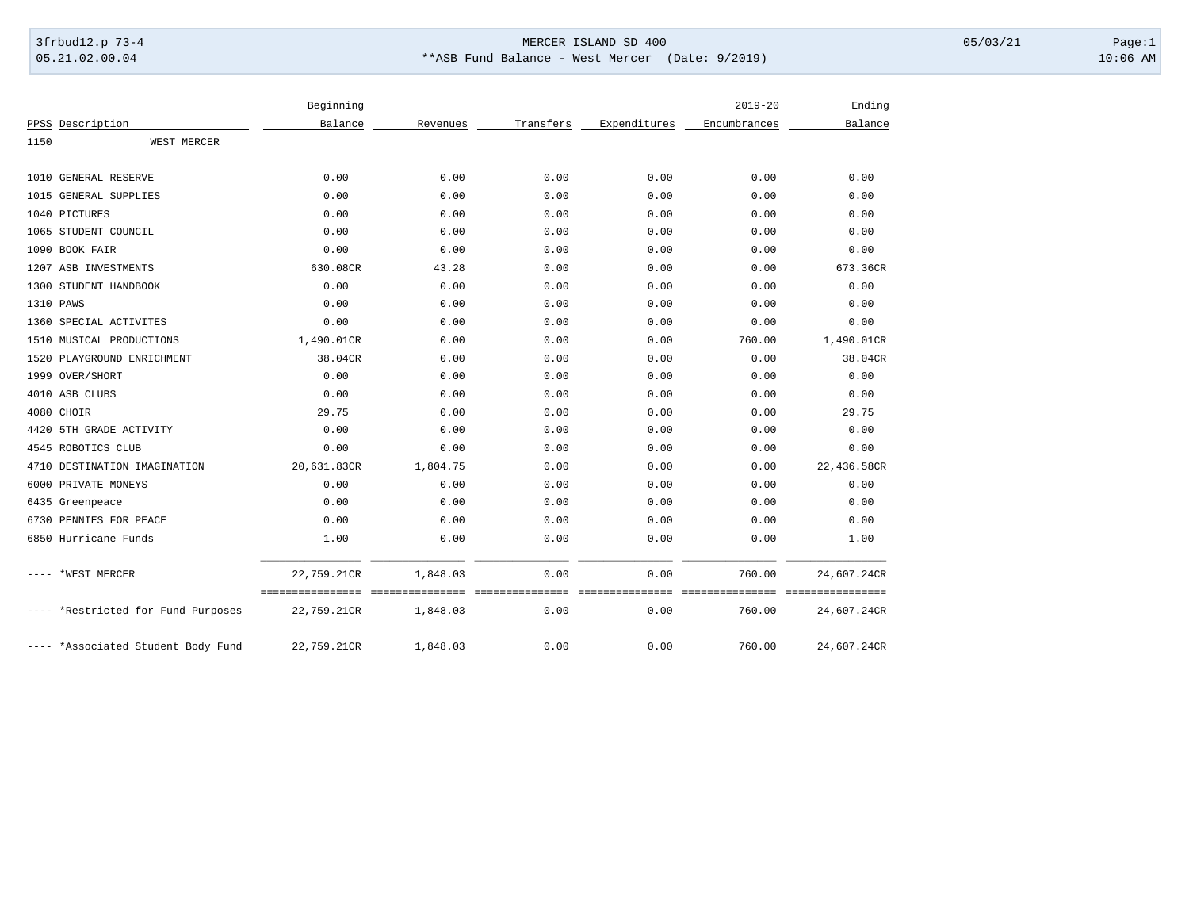## 3frbud12.p 73-4 Page:1 Page:1 05.21.02.00.04 \*\*ASB Fund Balance - West Mercer (Date: 9/2019) 10:06 AM

|      |                                    | Beginning   |          |           |              | $2019 - 20$  | Ending                      |
|------|------------------------------------|-------------|----------|-----------|--------------|--------------|-----------------------------|
|      | PPSS Description                   | Balance     | Revenues | Transfers | Expenditures | Encumbrances | Balance                     |
| 1150 | WEST MERCER                        |             |          |           |              |              |                             |
|      | 1010 GENERAL RESERVE               | 0.00        | 0.00     | 0.00      | 0.00         | 0.00         | 0.00                        |
|      | 1015 GENERAL SUPPLIES              | 0.00        | 0.00     | 0.00      | 0.00         | 0.00         | 0.00                        |
|      | 1040 PICTURES                      | 0.00        | 0.00     | 0.00      | 0.00         | 0.00         | 0.00                        |
|      | 1065 STUDENT COUNCIL               | 0.00        | 0.00     | 0.00      | 0.00         | 0.00         | 0.00                        |
|      | 1090 BOOK FAIR                     | 0.00        | 0.00     | 0.00      | 0.00         | 0.00         | 0.00                        |
|      | 1207 ASB INVESTMENTS               | 630.08CR    | 43.28    | 0.00      | 0.00         | 0.00         | 673.36CR                    |
|      | 1300 STUDENT HANDBOOK              | 0.00        | 0.00     | 0.00      | 0.00         | 0.00         | 0.00                        |
|      | 1310 PAWS                          | 0.00        | 0.00     | 0.00      | 0.00         | 0.00         | 0.00                        |
|      | 1360 SPECIAL ACTIVITES             | 0.00        | 0.00     | 0.00      | 0.00         | 0.00         | 0.00                        |
|      | 1510 MUSICAL PRODUCTIONS           | 1,490.01CR  | 0.00     | 0.00      | 0.00         | 760.00       | 1,490.01CR                  |
|      | 1520 PLAYGROUND ENRICHMENT         | 38.04CR     | 0.00     | 0.00      | 0.00         | 0.00         | 38.04CR                     |
|      | 1999 OVER/SHORT                    | 0.00        | 0.00     | 0.00      | 0.00         | 0.00         | 0.00                        |
|      | 4010 ASB CLUBS                     |             |          | 0.00      |              | 0.00         | 0.00                        |
|      |                                    | 0.00        | 0.00     |           | 0.00         |              |                             |
|      | 4080 CHOIR                         | 29.75       | 0.00     | 0.00      | 0.00         | 0.00         | 29.75                       |
|      | 4420 5TH GRADE ACTIVITY            | 0.00        | 0.00     | 0.00      | 0.00         | 0.00         | 0.00                        |
|      | 4545 ROBOTICS CLUB                 | 0.00        | 0.00     | 0.00      | 0.00         | 0.00         | 0.00                        |
|      | 4710 DESTINATION IMAGINATION       | 20,631.83CR | 1,804.75 | 0.00      | 0.00         | 0.00         | 22,436.58CR                 |
|      | 6000 PRIVATE MONEYS                | 0.00        | 0.00     | 0.00      | 0.00         | 0.00         | 0.00                        |
|      | 6435 Greenpeace                    | 0.00        | 0.00     | 0.00      | 0.00         | 0.00         | 0.00                        |
|      | 6730 PENNIES FOR PEACE             | 0.00        | 0.00     | 0.00      | 0.00         | 0.00         | 0.00                        |
|      | 6850 Hurricane Funds               | 1.00        | 0.00     | 0.00      | 0.00         | 0.00         | 1.00                        |
|      | *WEST MERCER                       | 22,759.21CR | 1,848.03 | 0.00      | 0.00         | 760.00       | 24,607.24CR                 |
|      | ---- *Restricted for Fund Purposes | 22,759.21CR | 1,848.03 | 0.00      | 0.00         | 760.00       | ============<br>24,607.24CR |
|      | ---- *Associated Student Body Fund | 22,759.21CR | 1,848.03 | 0.00      | 0.00         | 760.00       | 24,607.24CR                 |